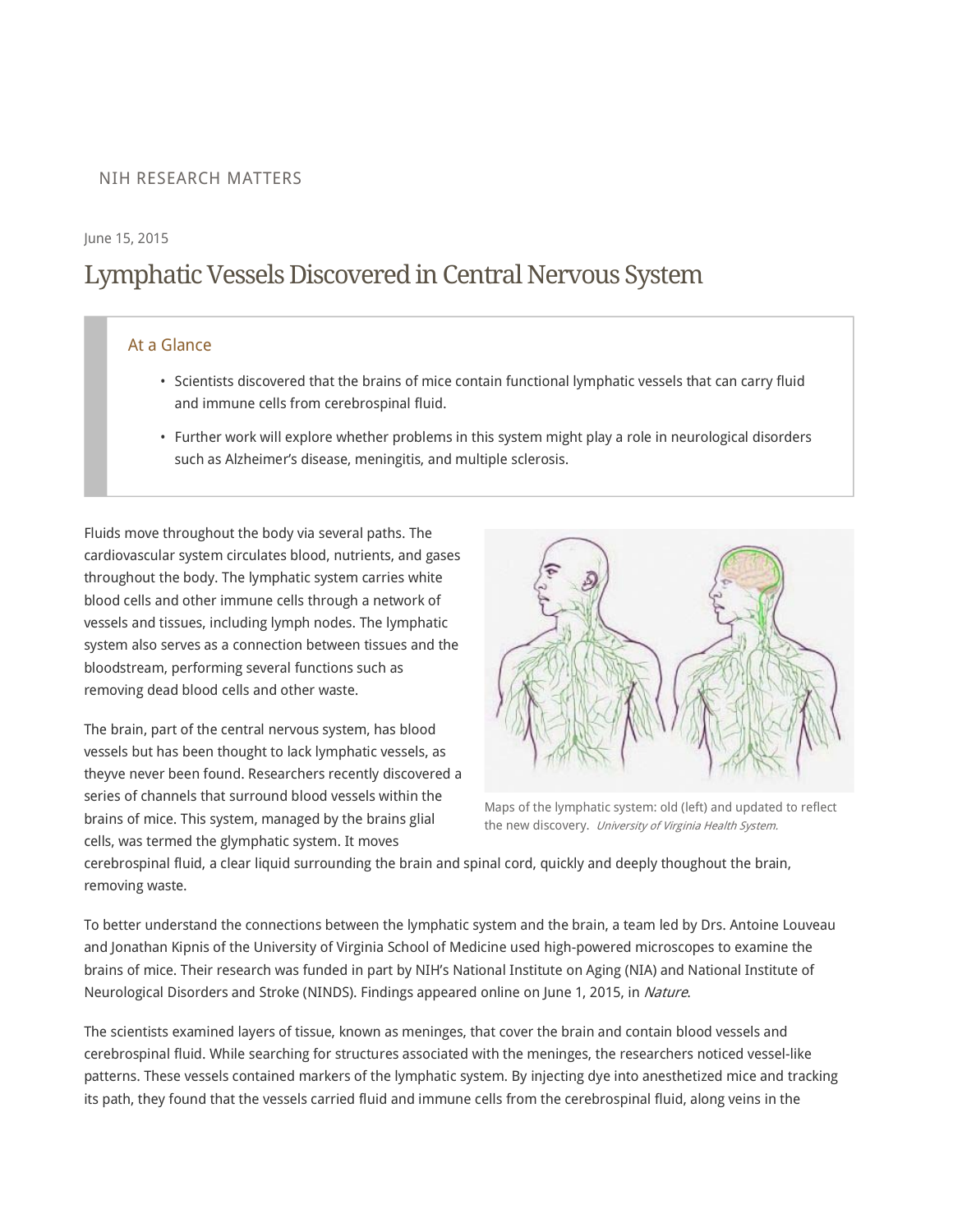## NIH RESEARCH MATTERS

#### June 15, 2015

# Lymphatic Vessels Discovered in Central Nervous System

### At a Glance

- Scientists discovered that the brains of mice contain functional lymphatic vessels that can carry fluid and immune cells from cerebrospinal fluid.
- Further work will explore whether problems in this system might play a role in neurological disorders such as Alzheimer's disease, meningitis, and multiple sclerosis.

Fluids move throughout the body via several paths. The cardiovascular system circulates blood, nutrients, and gases throughout the body. The lymphatic system carries white blood cells and other immune cells through a network of vessels and tissues, including lymph nodes. The lymphatic system also serves as a connection between tissues and the bloodstream, performing several functions such as removing dead blood cells and other waste.

The brain, part of the central nervous system, has blood vessels but has been thought to lack lymphatic vessels, as theyve never been found. Researchers recently discovered a series of channels that surround blood vessels within the brains of mice. This system, managed by the brains glial cells, was termed the glymphatic system. It moves



Maps of the lymphatic system: old (left) and updated to reflect the new discovery. University of Virginia Health System.

cerebrospinal fluid, a clear liquid surrounding the brain and spinal cord, quickly and deeply thoughout the brain, removing waste.

To better understand the connections between the lymphatic system and the brain, a team led by Drs. Antoine Louveau and Jonathan Kipnis of the University of Virginia School of Medicine used high-powered microscopes to examine the brains of mice. Their research was funded in part by NIH's National Institute on Aging (NIA) and National Institute of Neurological Disorders and Stroke (NINDS). Findings appeared online on June 1, 2015, in Nature.

The scientists examined layers of tissue, known as meninges, that cover the brain and contain blood vessels and cerebrospinal fluid. While searching for structures associated with the meninges, the researchers noticed vessel-like patterns. These vessels contained markers of the lymphatic system. By injecting dye into anesthetized mice and tracking its path, they found that the vessels carried fluid and immune cells from the cerebrospinal fluid, along veins in the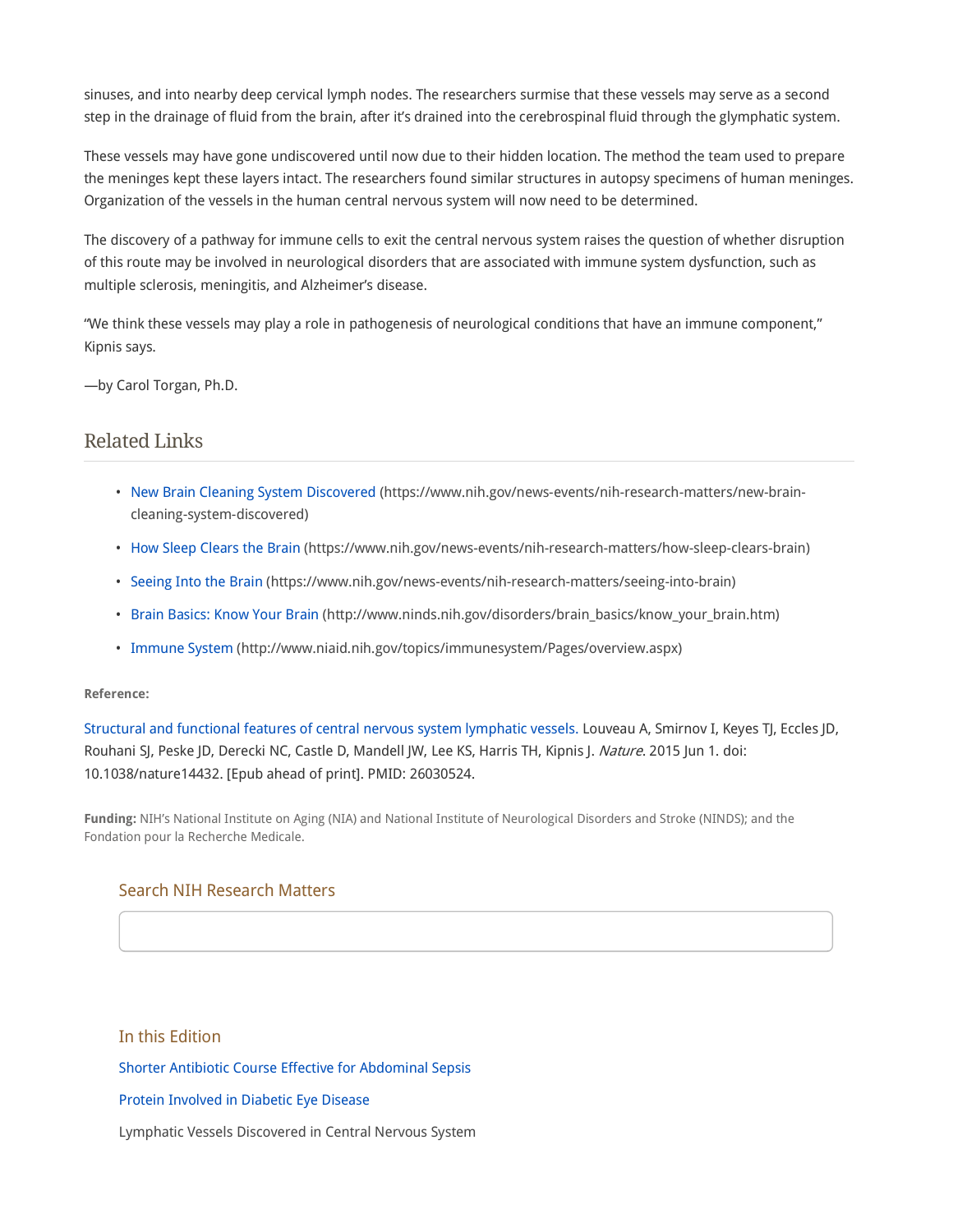sinuses, and into nearby deep cervical lymph nodes. The researchers surmise that these vessels may serve as a second step in the drainage of fluid from the brain, after it's drained into the cerebrospinal fluid through the glymphatic system.

These vessels may have gone undiscovered until now due to their hidden location. The method the team used to prepare the meninges kept these layers intact. The researchers found similar structures in autopsy specimens of human meninges. Organization of the vessels in the human central nervous system will now need to be determined.

The discovery of a pathway for immune cells to exit the central nervous system raises the question of whether disruption of this route may be involved in neurological disorders that are associated with immune system dysfunction, such as multiple sclerosis, meningitis, and Alzheimer's disease.

"We think these vessels may play a role in pathogenesis of neurological conditions that have an immune component," Kipnis says.

—by Carol Torgan, Ph.D.

## Related Links

- New Brain Cleaning System Discovered (https://www.nih.gov/news-events/nih-research-matters/new-braincleaning-system-discovered)
- How Sleep Clears the Brain (https://www.nih.gov/news-events/nih-research-matters/how-sleep-clears-brain)
- Seeing Into the Brain (https://www.nih.gov/news-events/nih-research-matters/seeing-into-brain)
- Brain Basics: Know Your Brain (http://www.ninds.nih.gov/disorders/brain\_basics/know\_your\_brain.htm)
- Immune System (http://www.niaid.nih.gov/topics/immunesystem/Pages/overview.aspx)

#### **Reference:**

Structural and functional features of central nervous system lymphatic vessels. Louveau A, Smirnov I, Keyes TJ, Eccles JD, Rouhani SJ, Peske JD, Derecki NC, Castle D, Mandell JW, Lee KS, Harris TH, Kipnis J. Nature. 2015 Jun 1. doi: 10.1038/nature14432. [Epub ahead of print]. PMID: 26030524.

**Funding:** NIH's National Institute on Aging (NIA) and National Institute of Neurological Disorders and Stroke (NINDS); and the Fondation pour la Recherche Medicale.

## Search NIH Research Matters

In this Edition Shorter Antibiotic Course Effective for Abdominal Sepsis Protein Involved in Diabetic Eye Disease Lymphatic Vessels Discovered in Central Nervous System